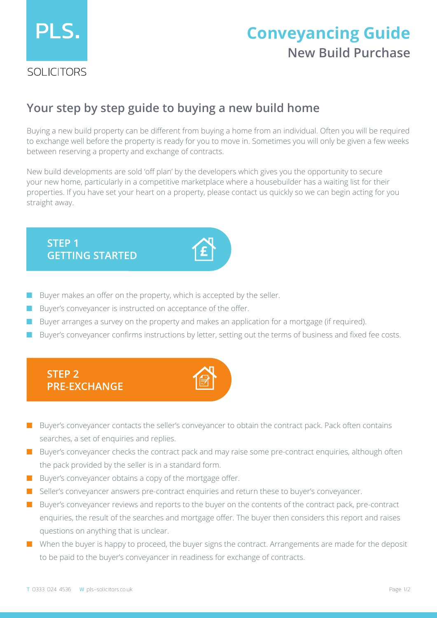

# **New Build Purchase Conveyancing Guide**

## **Your step by step guide to buying a new build home**

Buying a new build property can be different from buying a home from an individual. Often you will be required to exchange well before the property is ready for you to move in. Sometimes you will only be given a few weeks between reserving a property and exchange of contracts.

New build developments are sold 'off plan' by the developers which gives you the opportunity to secure your new home, particularly in a competitive marketplace where a housebuilder has a waiting list for their properties. If you have set your heart on a property, please contact us quickly so we can begin acting for you straight away.

#### **STEP 1 GETTING STARTED**

- Buyer makes an offer on the property, which is accepted by the seller.
- Buyer's conveyancer is instructed on acceptance of the offer.
- Buyer arranges a survey on the property and makes an application for a mortgage (if required).
- Buyer's conveyancer confirms instructions by letter, setting out the terms of business and fixed fee costs.



- Buyer's conveyancer contacts the seller's conveyancer to obtain the contract pack. Pack often contains searches, a set of enquiries and replies.
- Buyer's conveyancer checks the contract pack and may raise some pre-contract enquiries, although often the pack provided by the seller is in a standard form.
- Buyer's conveyancer obtains a copy of the mortgage offer.
- Seller's conveyancer answers pre-contract enquiries and return these to buyer's conveyancer.
- Buyer's conveyancer reviews and reports to the buyer on the contents of the contract pack, pre-contract enquiries, the result of the searches and mortgage offer. The buyer then considers this report and raises questions on anything that is unclear.
- When the buyer is happy to proceed, the buyer signs the contract. Arrangements are made for the deposit to be paid to the buyer's conveyancer in readiness for exchange of contracts.